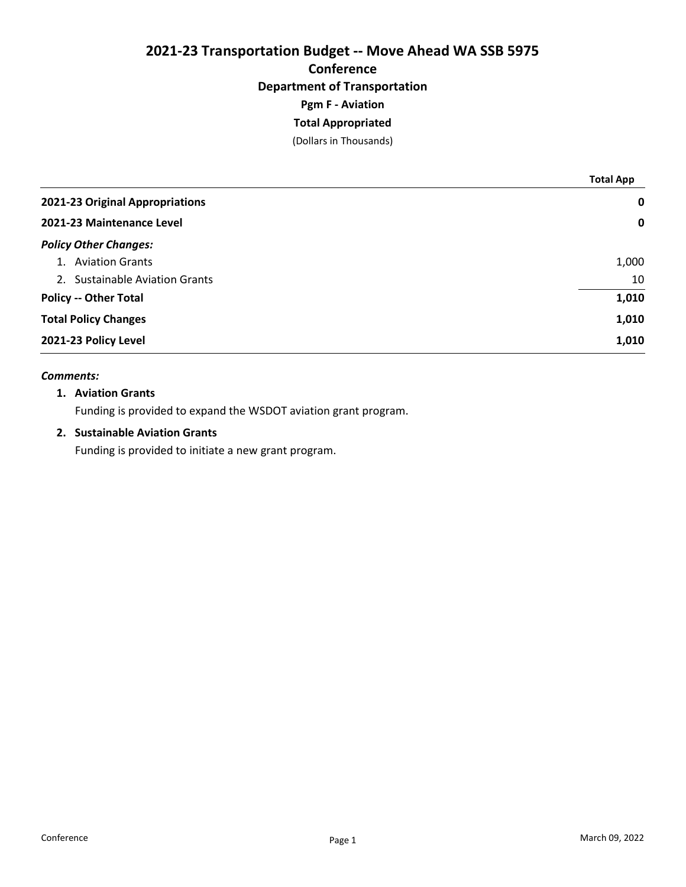# 2021-23 Transportation Budget -- Move Ahead WA SSB 5975 Conference Department of Transportation Pgm F - Aviation

# Total Appropriated

(Dollars in Thousands)

|                                 | <b>Total App</b> |
|---------------------------------|------------------|
| 2021-23 Original Appropriations | $\mathbf 0$      |
| 2021-23 Maintenance Level       | $\mathbf 0$      |
| <b>Policy Other Changes:</b>    |                  |
| 1. Aviation Grants              | 1,000            |
| 2. Sustainable Aviation Grants  | 10               |
| <b>Policy -- Other Total</b>    | 1,010            |
| <b>Total Policy Changes</b>     | 1,010            |
| 2021-23 Policy Level            | 1,010            |

### Comments:

### 1. Aviation Grants

Funding is provided to expand the WSDOT aviation grant program.

## 2. Sustainable Aviation Grants

Funding is provided to initiate a new grant program.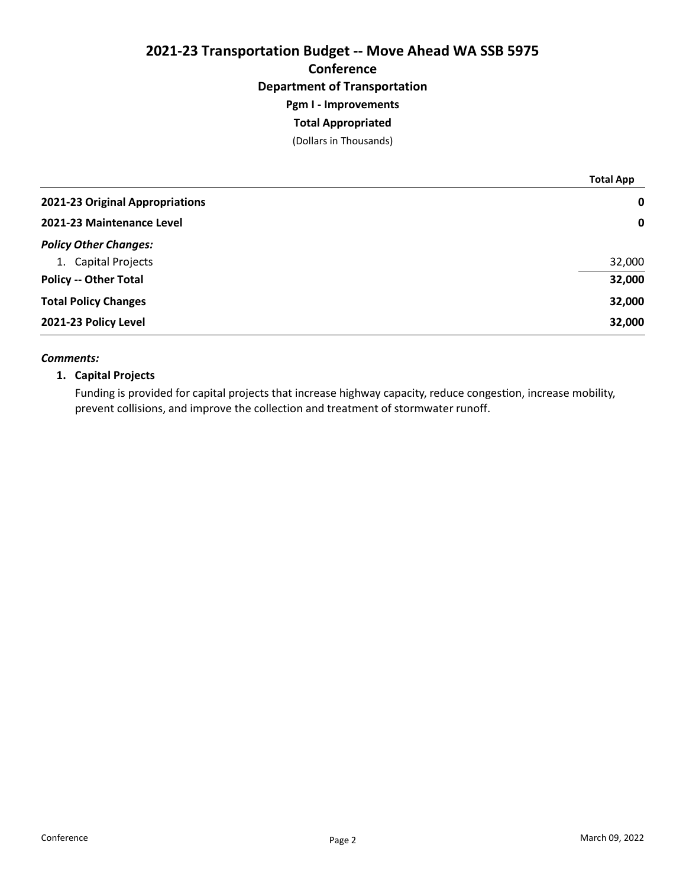# 2021-23 Transportation Budget -- Move Ahead WA SSB 5975 Conference Department of Transportation Pgm I - Improvements

## Total Appropriated

(Dollars in Thousands)

|                                 | <b>Total App</b> |
|---------------------------------|------------------|
| 2021-23 Original Appropriations | $\mathbf 0$      |
| 2021-23 Maintenance Level       | $\mathbf 0$      |
| <b>Policy Other Changes:</b>    |                  |
| 1. Capital Projects             | 32,000           |
| <b>Policy -- Other Total</b>    | 32,000           |
| <b>Total Policy Changes</b>     | 32,000           |
| 2021-23 Policy Level            | 32,000           |

### Comments:

## 1. Capital Projects

Funding is provided for capital projects that increase highway capacity, reduce congestion, increase mobility, prevent collisions, and improve the collection and treatment of stormwater runoff.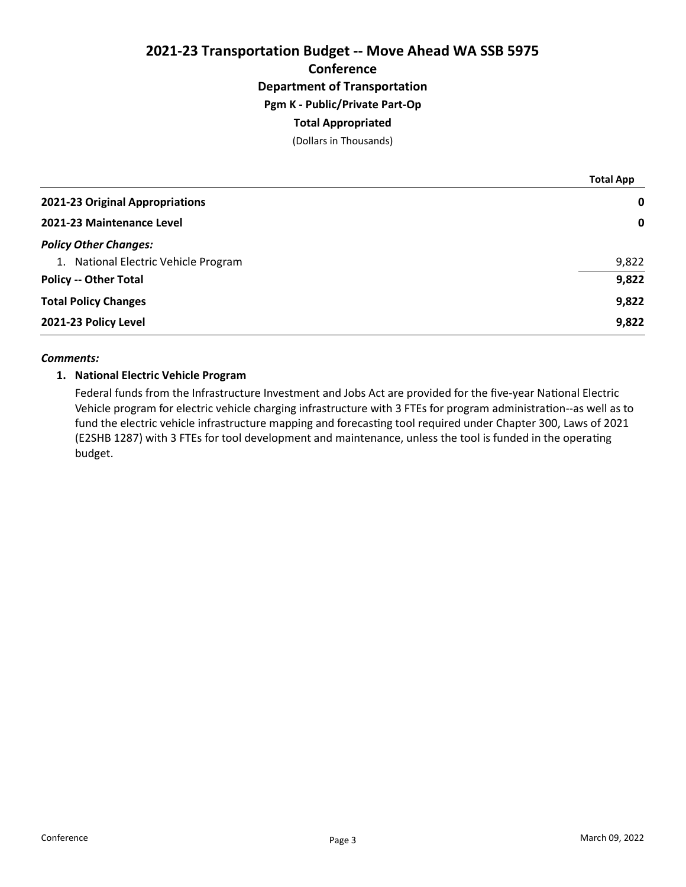2021-23 Transportation Budget -- Move Ahead WA SSB 5975 **Conference** Department of Transportation Pgm K - Public/Private Part-Op Total Appropriated

(Dollars in Thousands)

|                                      | <b>Total App</b> |
|--------------------------------------|------------------|
| 2021-23 Original Appropriations      | $\mathbf 0$      |
| 2021-23 Maintenance Level            | $\mathbf 0$      |
| <b>Policy Other Changes:</b>         |                  |
| 1. National Electric Vehicle Program | 9,822            |
| <b>Policy -- Other Total</b>         | 9,822            |
| <b>Total Policy Changes</b>          | 9,822            |
| 2021-23 Policy Level                 | 9,822            |

### Comments:

### 1. National Electric Vehicle Program

Federal funds from the Infrastructure Investment and Jobs Act are provided for the five-year National Electric Vehicle program for electric vehicle charging infrastructure with 3 FTEs for program administration--as well as to fund the electric vehicle infrastructure mapping and forecasting tool required under Chapter 300, Laws of 2021 (E2SHB 1287) with 3 FTEs for tool development and maintenance, unless the tool is funded in the operating budget.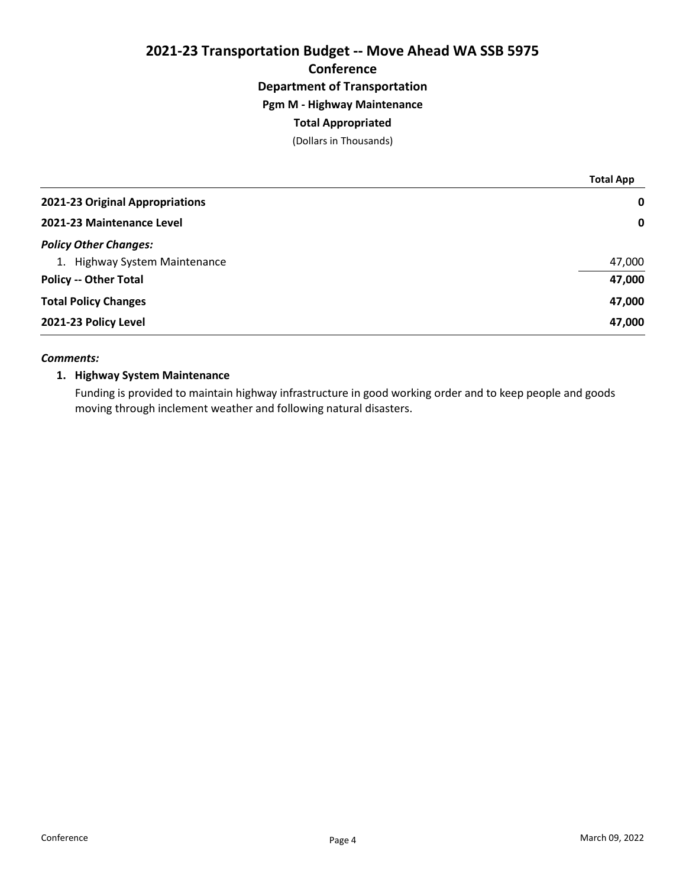# 2021-23 Transportation Budget -- Move Ahead WA SSB 5975 Conference Department of Transportation Pgm M - Highway Maintenance Total Appropriated

(Dollars in Thousands)

|                                 | <b>Total App</b> |
|---------------------------------|------------------|
| 2021-23 Original Appropriations | $\mathbf 0$      |
| 2021-23 Maintenance Level       | $\mathbf 0$      |
| <b>Policy Other Changes:</b>    |                  |
| 1. Highway System Maintenance   | 47,000           |
| <b>Policy -- Other Total</b>    | 47,000           |
| <b>Total Policy Changes</b>     | 47,000           |
| 2021-23 Policy Level            | 47,000           |

### Comments:

## 1. Highway System Maintenance

Funding is provided to maintain highway infrastructure in good working order and to keep people and goods moving through inclement weather and following natural disasters.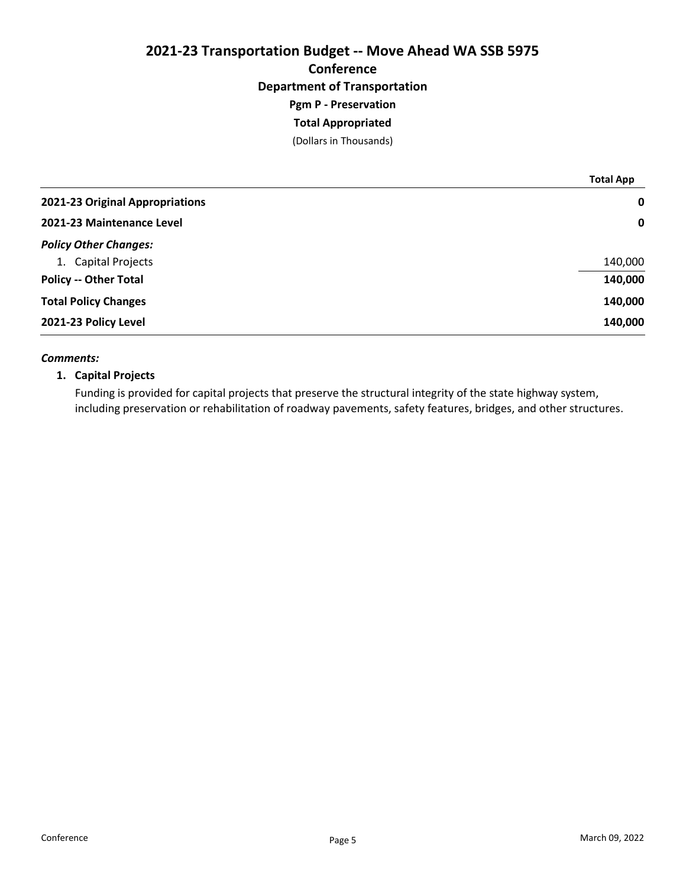# 2021-23 Transportation Budget -- Move Ahead WA SSB 5975 Conference Department of Transportation Pgm P - Preservation Total Appropriated

(Dollars in Thousands)

|                                 | <b>Total App</b> |
|---------------------------------|------------------|
| 2021-23 Original Appropriations | 0                |
| 2021-23 Maintenance Level       | 0                |
| <b>Policy Other Changes:</b>    |                  |
| 1. Capital Projects             | 140,000          |
| <b>Policy -- Other Total</b>    | 140,000          |
| <b>Total Policy Changes</b>     | 140,000          |
| 2021-23 Policy Level            | 140,000          |

### Comments:

## 1. Capital Projects

Funding is provided for capital projects that preserve the structural integrity of the state highway system, including preservation or rehabilitation of roadway pavements, safety features, bridges, and other structures.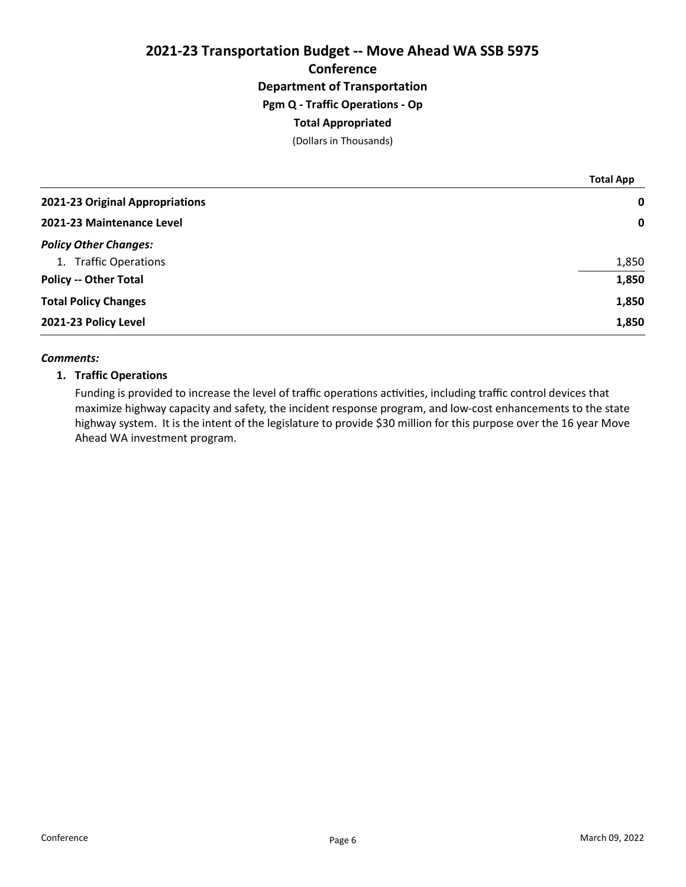# 2021-23 Transportation Budget -- Move Ahead WA SSB 5975 **Conference** Department of Transportation Pgm Q - Traffic Operations - Op Total Appropriated

(Dollars in Thousands)

|                                 | <b>Total App</b> |
|---------------------------------|------------------|
| 2021-23 Original Appropriations | $\mathbf 0$      |
| 2021-23 Maintenance Level       | $\mathbf 0$      |
| <b>Policy Other Changes:</b>    |                  |
| 1. Traffic Operations           | 1,850            |
| <b>Policy -- Other Total</b>    | 1,850            |
| <b>Total Policy Changes</b>     | 1,850            |
| 2021-23 Policy Level            | 1,850            |

### Comments:

## 1. Traffic Operations

Funding is provided to increase the level of traffic operations activities, including traffic control devices that maximize highway capacity and safety, the incident response program, and low-cost enhancements to the state highway system. It is the intent of the legislature to provide \$30 million for this purpose over the 16 year Move Ahead WA investment program.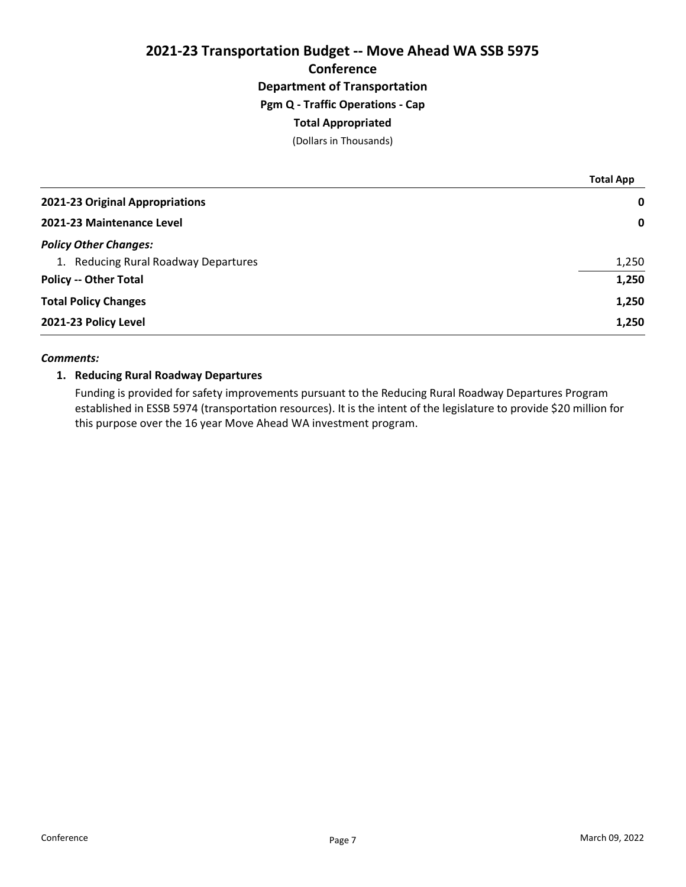2021-23 Transportation Budget -- Move Ahead WA SSB 5975 **Conference** Department of Transportation Pgm Q - Traffic Operations - Cap Total Appropriated

(Dollars in Thousands)

|                                      | <b>Total App</b> |
|--------------------------------------|------------------|
| 2021-23 Original Appropriations      | $\mathbf 0$      |
| 2021-23 Maintenance Level            | $\mathbf 0$      |
| <b>Policy Other Changes:</b>         |                  |
| 1. Reducing Rural Roadway Departures | 1,250            |
| <b>Policy -- Other Total</b>         | 1,250            |
| <b>Total Policy Changes</b>          | 1,250            |
| 2021-23 Policy Level                 | 1,250            |

### Comments:

## 1. Reducing Rural Roadway Departures

Funding is provided for safety improvements pursuant to the Reducing Rural Roadway Departures Program established in ESSB 5974 (transportation resources). It is the intent of the legislature to provide \$20 million for this purpose over the 16 year Move Ahead WA investment program.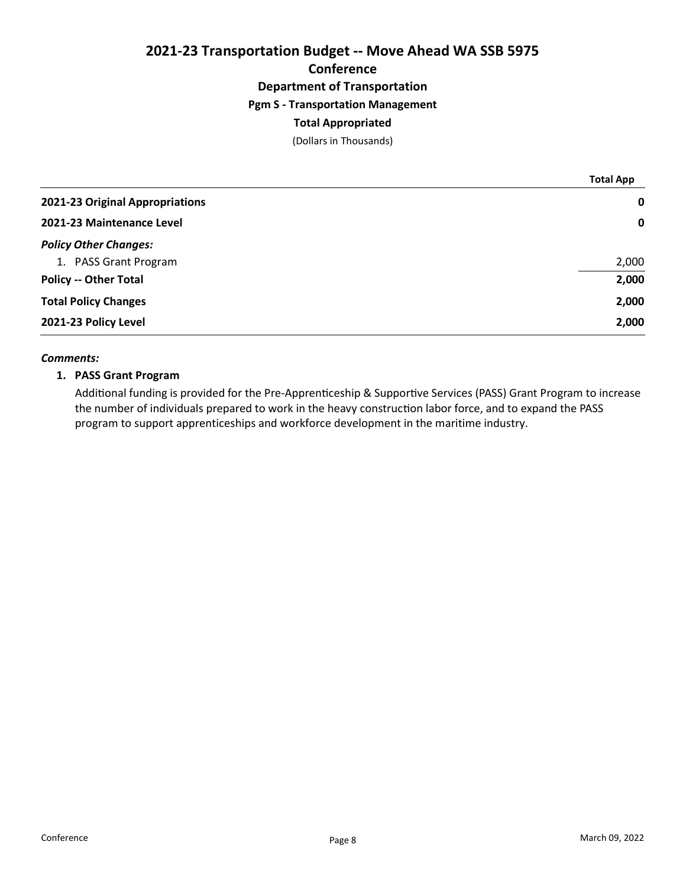# 2021-23 Transportation Budget -- Move Ahead WA SSB 5975 **Conference** Department of Transportation Pgm S - Transportation Management Total Appropriated

(Dollars in Thousands)

|                                 | <b>Total App</b> |
|---------------------------------|------------------|
| 2021-23 Original Appropriations | $\mathbf 0$      |
| 2021-23 Maintenance Level       | $\mathbf 0$      |
| <b>Policy Other Changes:</b>    |                  |
| 1. PASS Grant Program           | 2,000            |
| <b>Policy -- Other Total</b>    | 2,000            |
| <b>Total Policy Changes</b>     | 2,000            |
| 2021-23 Policy Level            | 2,000            |

### Comments:

## 1. PASS Grant Program

Additional funding is provided for the Pre-Apprenticeship & Supportive Services (PASS) Grant Program to increase the number of individuals prepared to work in the heavy construction labor force, and to expand the PASS program to support apprenticeships and workforce development in the maritime industry.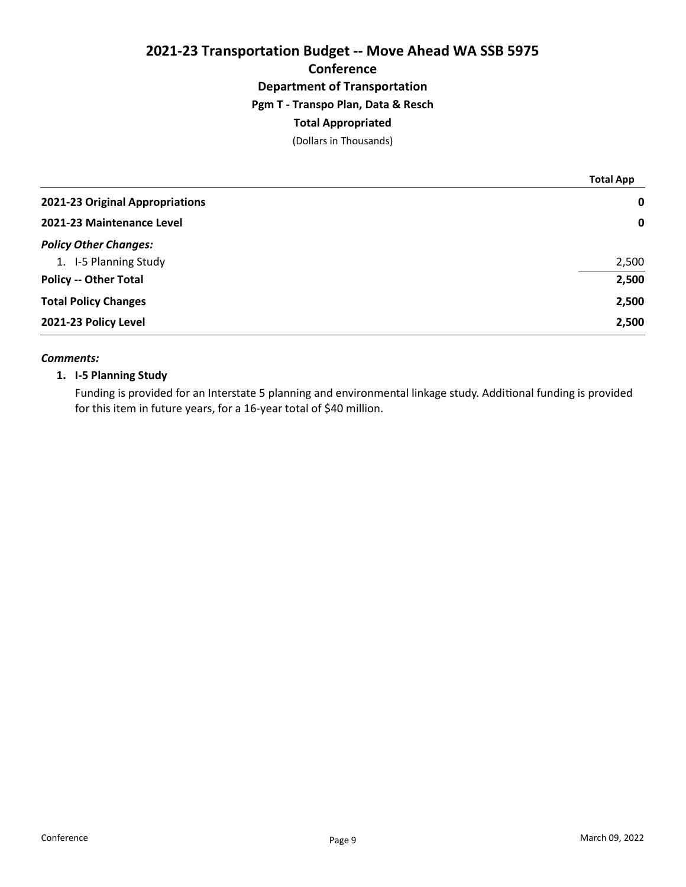# 2021-23 Transportation Budget -- Move Ahead WA SSB 5975 **Conference** Department of Transportation Pgm T - Transpo Plan, Data & Resch Total Appropriated

(Dollars in Thousands)

|                                 | <b>Total App</b> |
|---------------------------------|------------------|
| 2021-23 Original Appropriations | $\mathbf 0$      |
| 2021-23 Maintenance Level       | $\mathbf 0$      |
| <b>Policy Other Changes:</b>    |                  |
| 1. I-5 Planning Study           | 2,500            |
| <b>Policy -- Other Total</b>    | 2,500            |
| <b>Total Policy Changes</b>     | 2,500            |
| 2021-23 Policy Level            | 2,500            |

### Comments:

## 1. I-5 Planning Study

Funding is provided for an Interstate 5 planning and environmental linkage study. Additional funding is provided for this item in future years, for a 16-year total of \$40 million.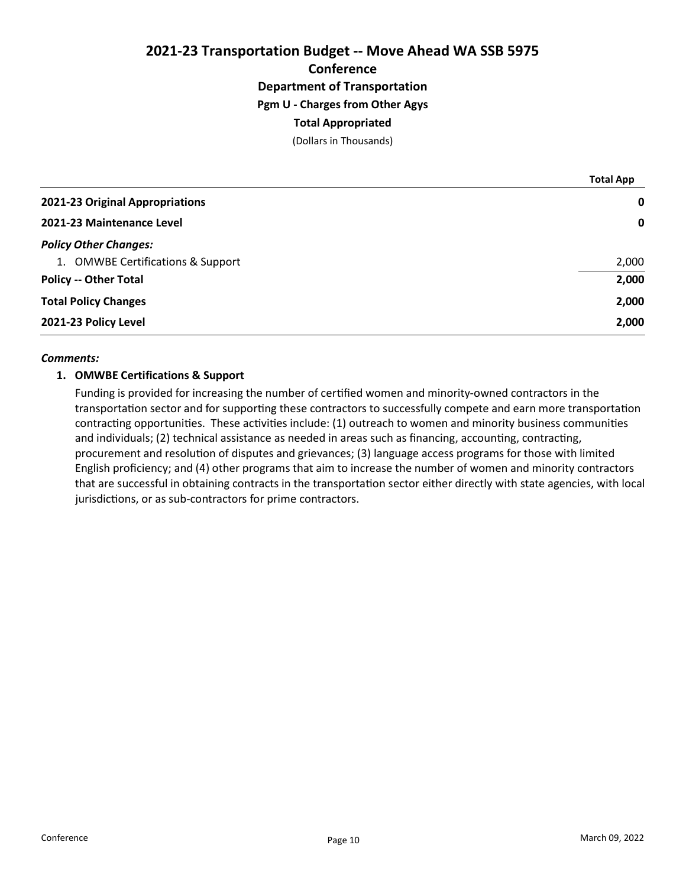# 2021-23 Transportation Budget -- Move Ahead WA SSB 5975 **Conference** Department of Transportation Pgm U - Charges from Other Agys Total Appropriated

(Dollars in Thousands)

|                                   | <b>Total App</b> |
|-----------------------------------|------------------|
| 2021-23 Original Appropriations   | $\mathbf 0$      |
| 2021-23 Maintenance Level         | $\mathbf 0$      |
| <b>Policy Other Changes:</b>      |                  |
| 1. OMWBE Certifications & Support | 2,000            |
| <b>Policy -- Other Total</b>      | 2,000            |
| <b>Total Policy Changes</b>       | 2,000            |
| 2021-23 Policy Level              | 2,000            |

### Comments:

### 1. OMWBE Certifications & Support

Funding is provided for increasing the number of certified women and minority-owned contractors in the transportation sector and for supporting these contractors to successfully compete and earn more transportation contracting opportunities. These activities include: (1) outreach to women and minority business communities and individuals; (2) technical assistance as needed in areas such as financing, accounting, contracting, procurement and resolution of disputes and grievances; (3) language access programs for those with limited English proficiency; and (4) other programs that aim to increase the number of women and minority contractors that are successful in obtaining contracts in the transportation sector either directly with state agencies, with local jurisdictions, or as sub-contractors for prime contractors.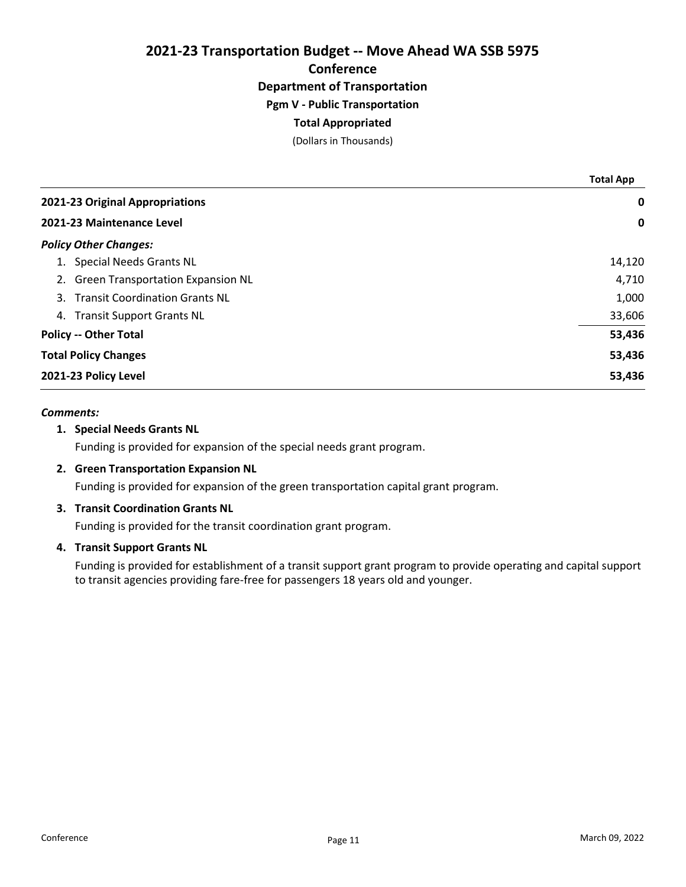2021-23 Transportation Budget -- Move Ahead WA SSB 5975 **Conference** 

# Department of Transportation

# Pgm V - Public Transportation

# Total Appropriated

(Dollars in Thousands)

|                                        | <b>Total App</b> |
|----------------------------------------|------------------|
| 2021-23 Original Appropriations        | 0                |
| 2021-23 Maintenance Level              | 0                |
| <b>Policy Other Changes:</b>           |                  |
| <b>Special Needs Grants NL</b>         | 14,120           |
| 2. Green Transportation Expansion NL   | 4,710            |
| 3. Transit Coordination Grants NL      | 1,000            |
| <b>Transit Support Grants NL</b><br>4. | 33,606           |
| <b>Policy -- Other Total</b>           | 53,436           |
| <b>Total Policy Changes</b>            | 53,436           |
| 2021-23 Policy Level                   | 53,436           |

## Comments:

### 1. Special Needs Grants NL

Funding is provided for expansion of the special needs grant program.

## 2. Green Transportation Expansion NL

Funding is provided for expansion of the green transportation capital grant program.

## 3. Transit Coordination Grants NL

Funding is provided for the transit coordination grant program.

### 4. Transit Support Grants NL

Funding is provided for establishment of a transit support grant program to provide operating and capital support to transit agencies providing fare-free for passengers 18 years old and younger.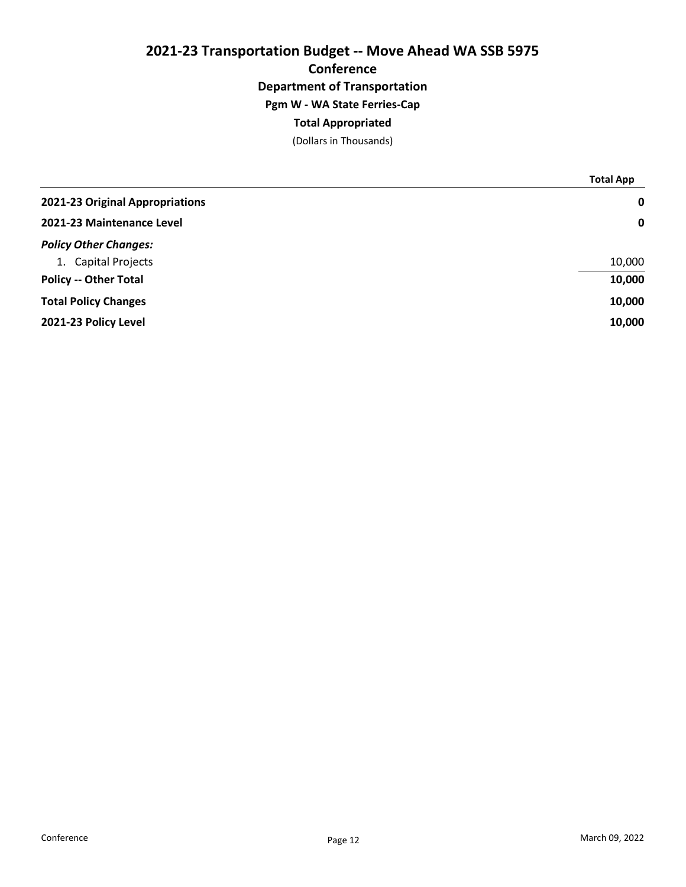# 2021-23 Transportation Budget -- Move Ahead WA SSB 5975 **Conference** Department of Transportation Pgm W - WA State Ferries-Cap Total Appropriated

(Dollars in Thousands)

|                                 | <b>Total App</b> |
|---------------------------------|------------------|
| 2021-23 Original Appropriations | 0                |
| 2021-23 Maintenance Level       | $\mathbf 0$      |
| <b>Policy Other Changes:</b>    |                  |
| 1. Capital Projects             | 10,000           |
| <b>Policy -- Other Total</b>    | 10,000           |
| <b>Total Policy Changes</b>     | 10,000           |
| 2021-23 Policy Level            | 10,000           |
|                                 |                  |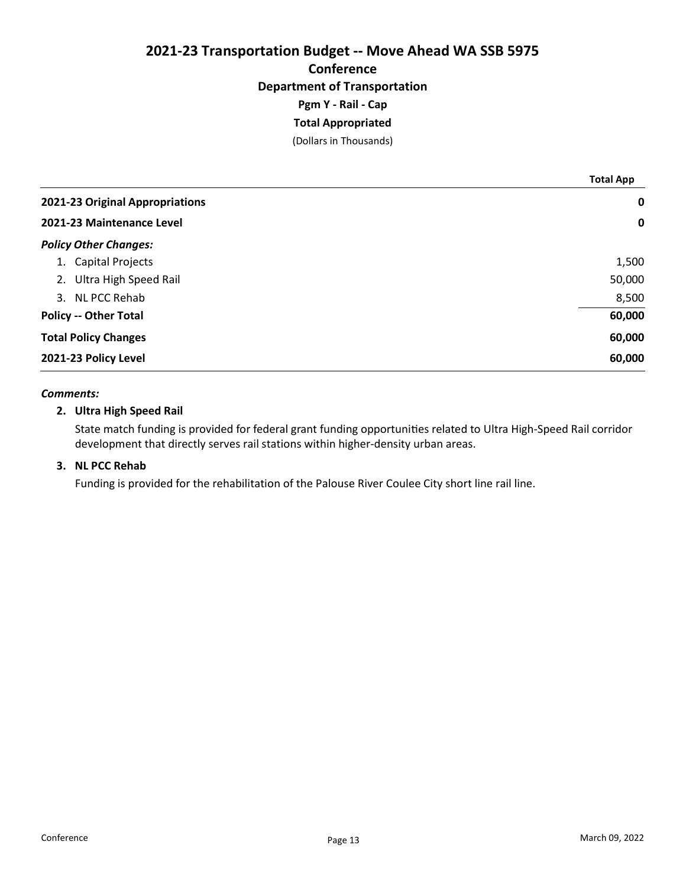# 2021-23 Transportation Budget -- Move Ahead WA SSB 5975 Conference Department of Transportation Pgm Y - Rail - Cap Total Appropriated

(Dollars in Thousands)

|                                 | <b>Total App</b> |
|---------------------------------|------------------|
| 2021-23 Original Appropriations | $\mathbf 0$      |
| 2021-23 Maintenance Level       | $\mathbf 0$      |
| <b>Policy Other Changes:</b>    |                  |
| 1. Capital Projects             | 1,500            |
| 2. Ultra High Speed Rail        | 50,000           |
| 3. NL PCC Rehab                 | 8,500            |
| <b>Policy -- Other Total</b>    | 60,000           |
| <b>Total Policy Changes</b>     | 60,000           |
| 2021-23 Policy Level            | 60,000           |

### Comments:

### 2. Ultra High Speed Rail

State match funding is provided for federal grant funding opportunities related to Ultra High-Speed Rail corridor development that directly serves rail stations within higher-density urban areas.

### 3. NL PCC Rehab

Funding is provided for the rehabilitation of the Palouse River Coulee City short line rail line.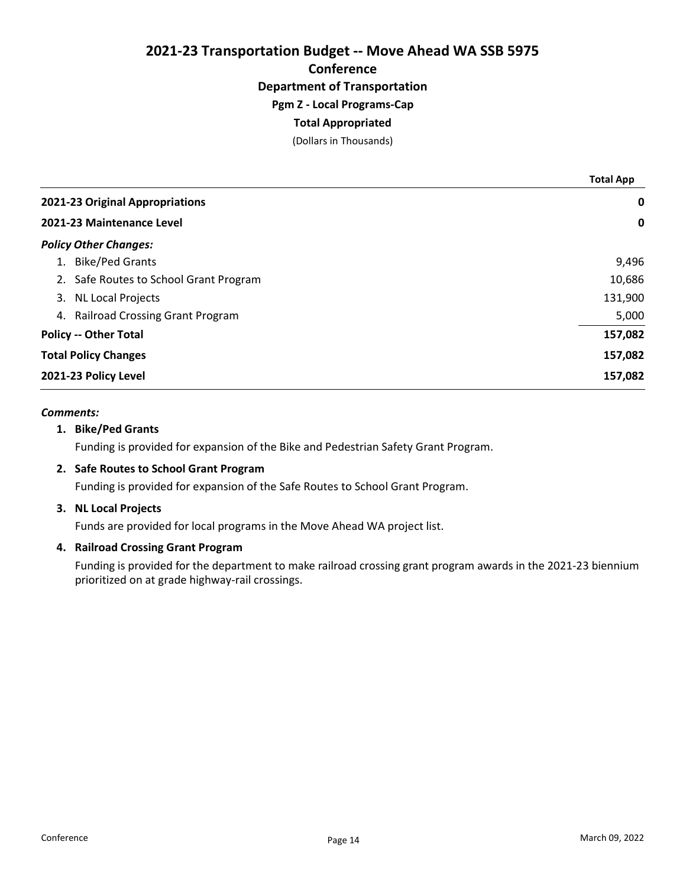2021-23 Transportation Budget -- Move Ahead WA SSB 5975 **Conference** Department of Transportation

# Pgm Z - Local Programs-Cap

# Total Appropriated

(Dollars in Thousands)

|                                              | <b>Total App</b> |
|----------------------------------------------|------------------|
| 2021-23 Original Appropriations              | 0                |
| 2021-23 Maintenance Level                    | 0                |
| <b>Policy Other Changes:</b>                 |                  |
| <b>Bike/Ped Grants</b><br>1.                 | 9,496            |
| 2. Safe Routes to School Grant Program       | 10,686           |
| <b>NL Local Projects</b><br>3.               | 131,900          |
| <b>Railroad Crossing Grant Program</b><br>4. | 5,000            |
| <b>Policy -- Other Total</b>                 | 157,082          |
| <b>Total Policy Changes</b>                  | 157,082          |
| 2021-23 Policy Level                         | 157,082          |

## Comments:

### 1. Bike/Ped Grants

Funding is provided for expansion of the Bike and Pedestrian Safety Grant Program.

### 2. Safe Routes to School Grant Program

Funding is provided for expansion of the Safe Routes to School Grant Program.

### 3. NL Local Projects

Funds are provided for local programs in the Move Ahead WA project list.

### 4. Railroad Crossing Grant Program

Funding is provided for the department to make railroad crossing grant program awards in the 2021-23 biennium prioritized on at grade highway-rail crossings.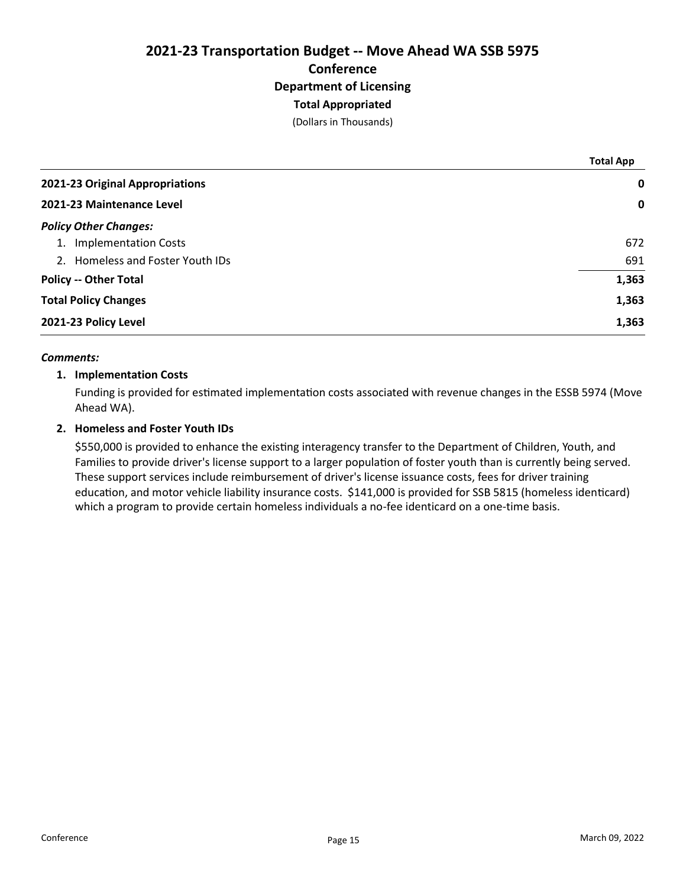# 2021-23 Transportation Budget -- Move Ahead WA SSB 5975 **Conference** Department of Licensing Total Appropriated

(Dollars in Thousands)

|                                  | <b>Total App</b> |
|----------------------------------|------------------|
| 2021-23 Original Appropriations  | $\mathbf 0$      |
| 2021-23 Maintenance Level        | $\mathbf 0$      |
| <b>Policy Other Changes:</b>     |                  |
| 1. Implementation Costs          | 672              |
| 2. Homeless and Foster Youth IDs | 691              |
| <b>Policy -- Other Total</b>     | 1,363            |
| <b>Total Policy Changes</b>      | 1,363            |
| 2021-23 Policy Level             | 1,363            |

### Comments:

## 1. Implementation Costs

Funding is provided for estimated implementation costs associated with revenue changes in the ESSB 5974 (Move Ahead WA).

## 2. Homeless and Foster Youth IDs

\$550,000 is provided to enhance the existing interagency transfer to the Department of Children, Youth, and Families to provide driver's license support to a larger population of foster youth than is currently being served. These support services include reimbursement of driver's license issuance costs, fees for driver training education, and motor vehicle liability insurance costs. \$141,000 is provided for SSB 5815 (homeless identicard) which a program to provide certain homeless individuals a no-fee identicard on a one-time basis.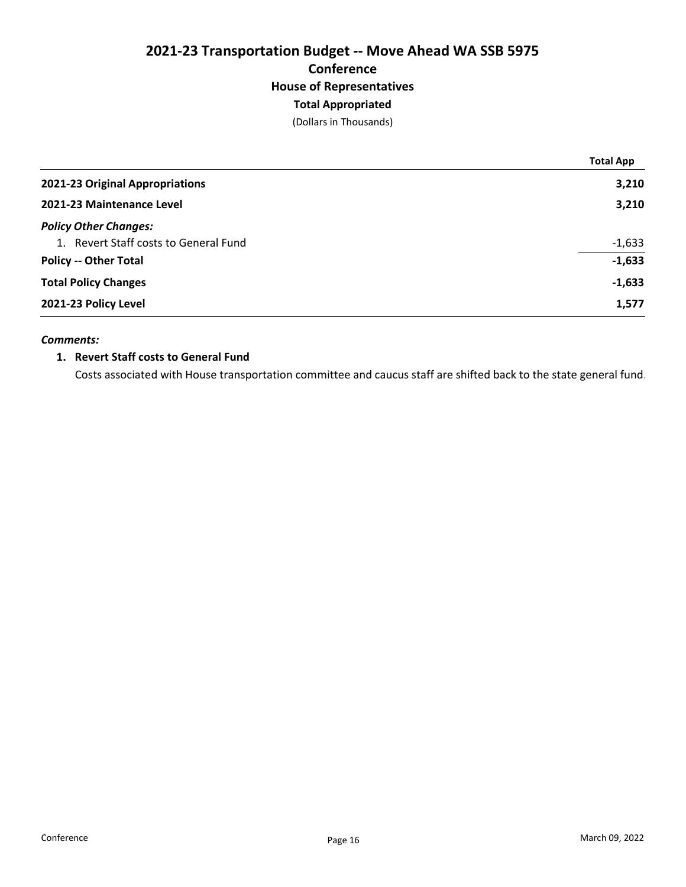# 2021-23 Transportation Budget -- Move Ahead WA SSB 5975 Conference House of Representatives Total Appropriated

(Dollars in Thousands)

|                                       | <b>Total App</b> |
|---------------------------------------|------------------|
| 2021-23 Original Appropriations       | 3,210            |
| 2021-23 Maintenance Level             | 3,210            |
| <b>Policy Other Changes:</b>          |                  |
| 1. Revert Staff costs to General Fund | $-1,633$         |
| <b>Policy -- Other Total</b>          | $-1,633$         |
| <b>Total Policy Changes</b>           | $-1,633$         |
| 2021-23 Policy Level                  | 1,577            |

### Comments:

## 1. Revert Staff costs to General Fund

Costs associated with House transportation committee and caucus staff are shifted back to the state general fund.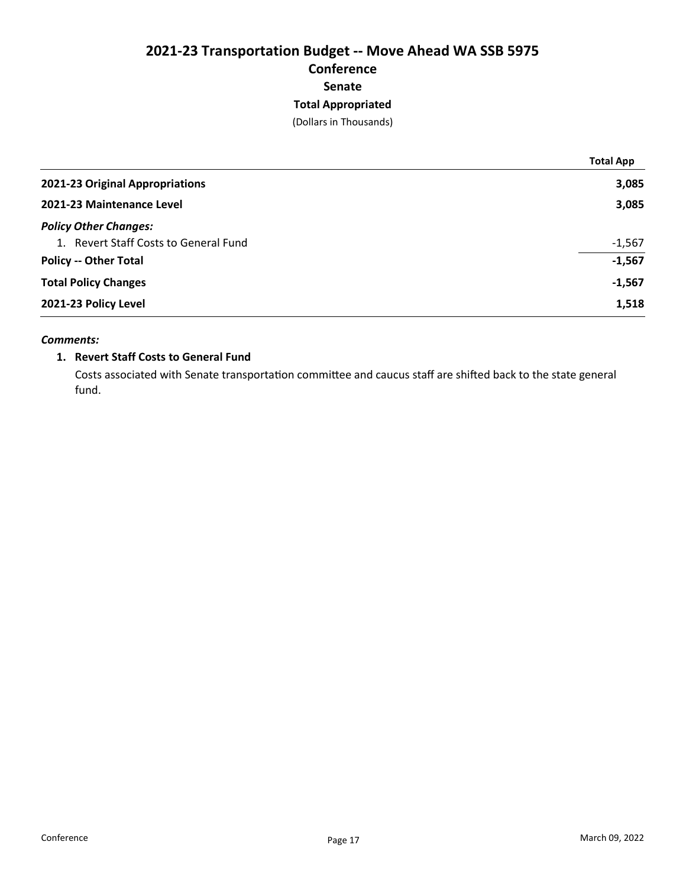# 2021-23 Transportation Budget -- Move Ahead WA SSB 5975 Conference Senate Total Appropriated

(Dollars in Thousands)

|                                       | <b>Total App</b> |
|---------------------------------------|------------------|
| 2021-23 Original Appropriations       | 3,085            |
| 2021-23 Maintenance Level             | 3,085            |
| <b>Policy Other Changes:</b>          |                  |
| 1. Revert Staff Costs to General Fund | $-1,567$         |
| <b>Policy -- Other Total</b>          | $-1,567$         |
| <b>Total Policy Changes</b>           | $-1,567$         |
| 2021-23 Policy Level                  | 1,518            |
|                                       |                  |

## Comments:

## 1. Revert Staff Costs to General Fund

Costs associated with Senate transportation committee and caucus staff are shifted back to the state general fund.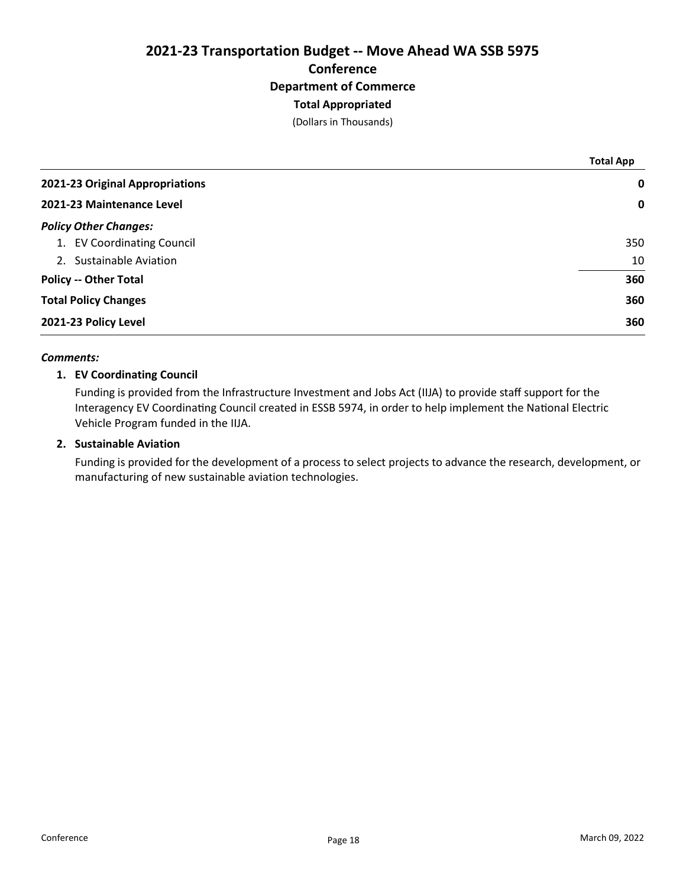# 2021-23 Transportation Budget -- Move Ahead WA SSB 5975 **Conference** Department of Commerce Total Appropriated

(Dollars in Thousands)

|                                 | <b>Total App</b> |
|---------------------------------|------------------|
| 2021-23 Original Appropriations | 0                |
| 2021-23 Maintenance Level       | $\mathbf 0$      |
| <b>Policy Other Changes:</b>    |                  |
| 1. EV Coordinating Council      | 350              |
| 2. Sustainable Aviation         | 10               |
| <b>Policy -- Other Total</b>    | 360              |
| <b>Total Policy Changes</b>     | 360              |
| 2021-23 Policy Level            | 360              |

### Comments:

# 1. EV Coordinating Council

Funding is provided from the Infrastructure Investment and Jobs Act (IIJA) to provide staff support for the Interagency EV Coordinating Council created in ESSB 5974, in order to help implement the National Electric Vehicle Program funded in the IIJA.

### 2. Sustainable Aviation

Funding is provided for the development of a process to select projects to advance the research, development, or manufacturing of new sustainable aviation technologies.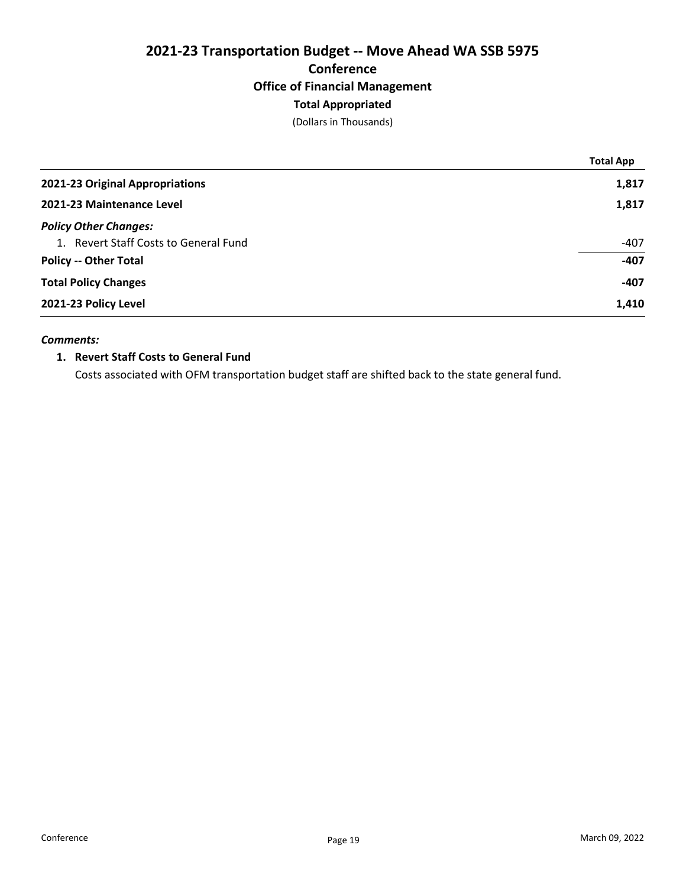# 2021-23 Transportation Budget -- Move Ahead WA SSB 5975 Conference Office of Financial Management Total Appropriated

(Dollars in Thousands)

|                                       | <b>Total App</b> |
|---------------------------------------|------------------|
| 2021-23 Original Appropriations       | 1,817            |
| 2021-23 Maintenance Level             | 1,817            |
| <b>Policy Other Changes:</b>          |                  |
| 1. Revert Staff Costs to General Fund | $-407$           |
| <b>Policy -- Other Total</b>          | $-407$           |
| <b>Total Policy Changes</b>           | $-407$           |
| 2021-23 Policy Level                  | 1,410            |
|                                       |                  |

### Comments:

# 1. Revert Staff Costs to General Fund

Costs associated with OFM transportation budget staff are shifted back to the state general fund.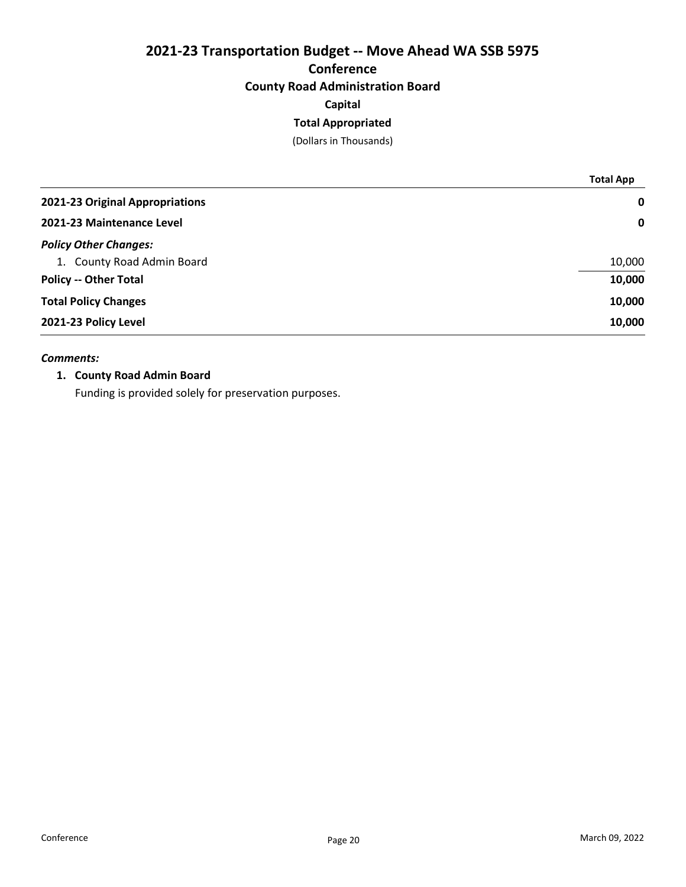# 2021-23 Transportation Budget -- Move Ahead WA SSB 5975 **Conference** County Road Administration Board

# Capital

# Total Appropriated

(Dollars in Thousands)

|                                 | <b>Total App</b> |
|---------------------------------|------------------|
| 2021-23 Original Appropriations | $\mathbf 0$      |
| 2021-23 Maintenance Level       | $\mathbf 0$      |
| <b>Policy Other Changes:</b>    |                  |
| 1. County Road Admin Board      | 10,000           |
| <b>Policy -- Other Total</b>    | 10,000           |
| <b>Total Policy Changes</b>     | 10,000           |
| 2021-23 Policy Level            | 10,000           |

### Comments:

### 1. County Road Admin Board

Funding is provided solely for preservation purposes.